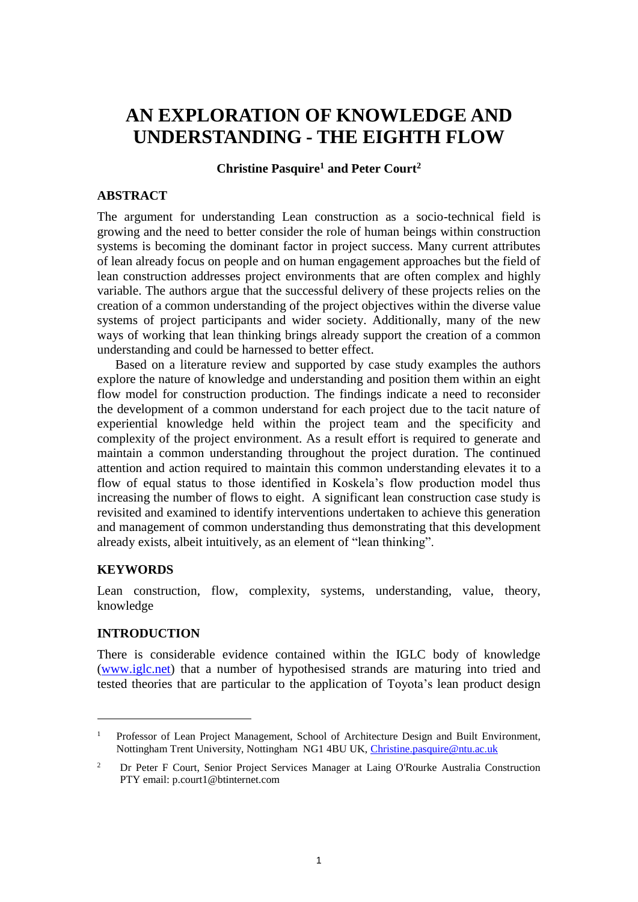# **AN EXPLORATION OF KNOWLEDGE AND UNDERSTANDING - THE EIGHTH FLOW**

### **Christine Pasquire<sup>1</sup> and Peter Court<sup>2</sup>**

### **ABSTRACT**

The argument for understanding Lean construction as a socio-technical field is growing and the need to better consider the role of human beings within construction systems is becoming the dominant factor in project success. Many current attributes of lean already focus on people and on human engagement approaches but the field of lean construction addresses project environments that are often complex and highly variable. The authors argue that the successful delivery of these projects relies on the creation of a common understanding of the project objectives within the diverse value systems of project participants and wider society. Additionally, many of the new ways of working that lean thinking brings already support the creation of a common understanding and could be harnessed to better effect.

Based on a literature review and supported by case study examples the authors explore the nature of knowledge and understanding and position them within an eight flow model for construction production. The findings indicate a need to reconsider the development of a common understand for each project due to the tacit nature of experiential knowledge held within the project team and the specificity and complexity of the project environment. As a result effort is required to generate and maintain a common understanding throughout the project duration. The continued attention and action required to maintain this common understanding elevates it to a flow of equal status to those identified in Koskela's flow production model thus increasing the number of flows to eight. A significant lean construction case study is revisited and examined to identify interventions undertaken to achieve this generation and management of common understanding thus demonstrating that this development already exists, albeit intuitively, as an element of "lean thinking".

### **KEYWORDS**

1

Lean construction, flow, complexity, systems, understanding, value, theory, knowledge

### **INTRODUCTION**

There is considerable evidence contained within the IGLC body of knowledge [\(www.iglc.net\)](http://www.iglc.net/) that a number of hypothesised strands are maturing into tried and tested theories that are particular to the application of Toyota's lean product design

<sup>&</sup>lt;sup>1</sup> Professor of Lean Project Management, School of Architecture Design and Built Environment, Nottingham Trent University, Nottingham NG1 4BU UK, [Christine.pasquire@ntu.ac.uk](mailto:Christine.pasquire@ntu.ac.uk)

<sup>&</sup>lt;sup>2</sup> Dr Peter F Court, Senior Project Services Manager at Laing O'Rourke Australia Construction PTY email: p.court1@btinternet.com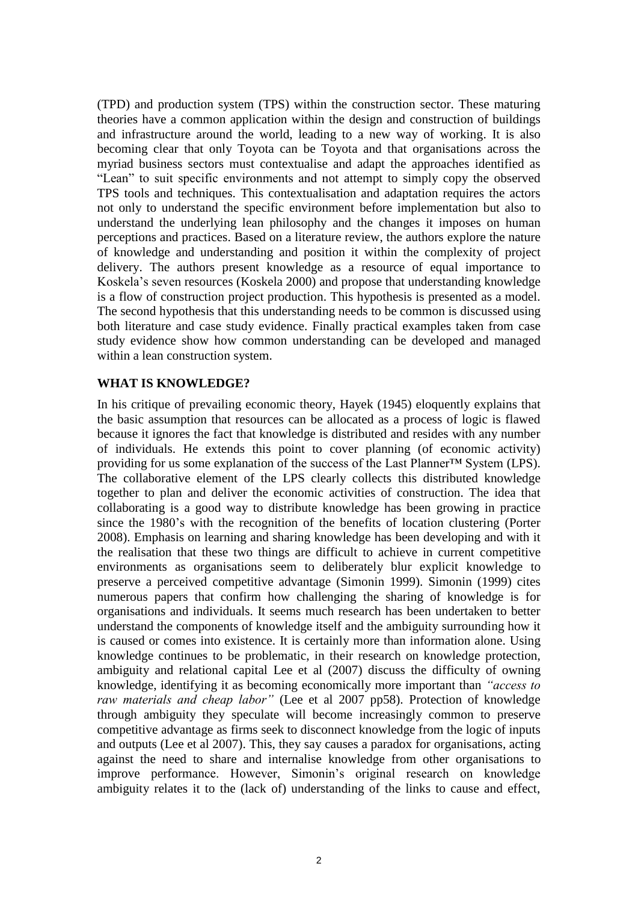(TPD) and production system (TPS) within the construction sector. These maturing theories have a common application within the design and construction of buildings and infrastructure around the world, leading to a new way of working. It is also becoming clear that only Toyota can be Toyota and that organisations across the myriad business sectors must contextualise and adapt the approaches identified as "Lean" to suit specific environments and not attempt to simply copy the observed TPS tools and techniques. This contextualisation and adaptation requires the actors not only to understand the specific environment before implementation but also to understand the underlying lean philosophy and the changes it imposes on human perceptions and practices. Based on a literature review, the authors explore the nature of knowledge and understanding and position it within the complexity of project delivery. The authors present knowledge as a resource of equal importance to Koskela's seven resources (Koskela 2000) and propose that understanding knowledge is a flow of construction project production. This hypothesis is presented as a model. The second hypothesis that this understanding needs to be common is discussed using both literature and case study evidence. Finally practical examples taken from case study evidence show how common understanding can be developed and managed within a lean construction system.

### **WHAT IS KNOWLEDGE?**

In his critique of prevailing economic theory, Hayek (1945) eloquently explains that the basic assumption that resources can be allocated as a process of logic is flawed because it ignores the fact that knowledge is distributed and resides with any number of individuals. He extends this point to cover planning (of economic activity) providing for us some explanation of the success of the Last Planner™ System (LPS). The collaborative element of the LPS clearly collects this distributed knowledge together to plan and deliver the economic activities of construction. The idea that collaborating is a good way to distribute knowledge has been growing in practice since the 1980's with the recognition of the benefits of location clustering (Porter 2008). Emphasis on learning and sharing knowledge has been developing and with it the realisation that these two things are difficult to achieve in current competitive environments as organisations seem to deliberately blur explicit knowledge to preserve a perceived competitive advantage (Simonin 1999). Simonin (1999) cites numerous papers that confirm how challenging the sharing of knowledge is for organisations and individuals. It seems much research has been undertaken to better understand the components of knowledge itself and the ambiguity surrounding how it is caused or comes into existence. It is certainly more than information alone. Using knowledge continues to be problematic, in their research on knowledge protection, ambiguity and relational capital Lee et al (2007) discuss the difficulty of owning knowledge, identifying it as becoming economically more important than *"access to raw materials and cheap labor"* (Lee et al 2007 pp58). Protection of knowledge through ambiguity they speculate will become increasingly common to preserve competitive advantage as firms seek to disconnect knowledge from the logic of inputs and outputs (Lee et al 2007). This, they say causes a paradox for organisations, acting against the need to share and internalise knowledge from other organisations to improve performance. However, Simonin's original research on knowledge ambiguity relates it to the (lack of) understanding of the links to cause and effect,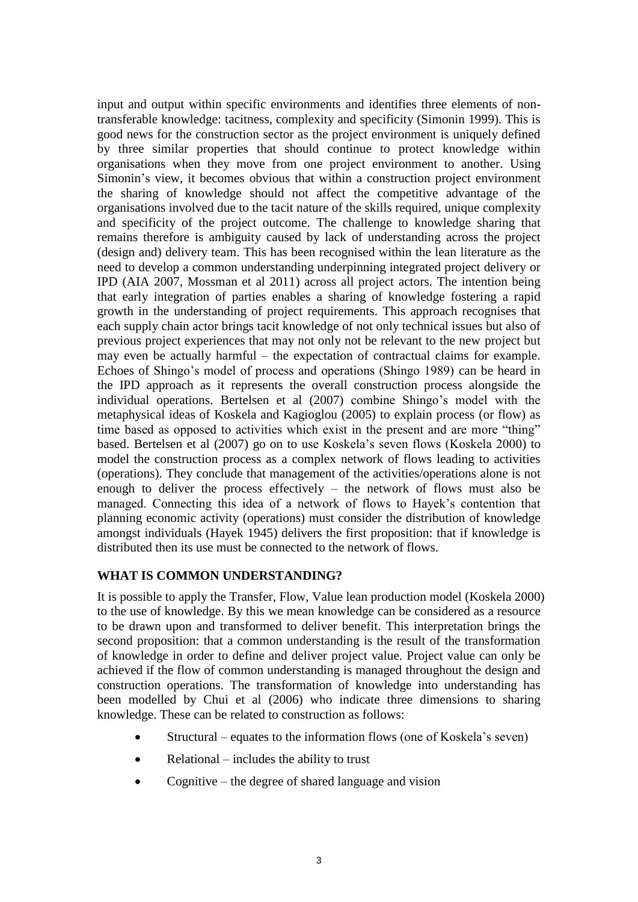input and output within specific environments and identifies three elements of nontransferable knowledge: tacitness, complexity and specificity (Simonin 1999). This is good news for the construction sector as the project environment is uniquely defined by three similar properties that should continue to protect knowledge within organisations when they move from one project environment to another. Using Simonin's view, it becomes obvious that within a construction project environment the sharing of knowledge should not affect the competitive advantage of the organisations involved due to the tacit nature of the skills required, unique complexity and specificity of the project outcome. The challenge to knowledge sharing that remains therefore is ambiguity caused by lack of understanding across the project (design and) delivery team. This has been recognised within the lean literature as the need to develop a common understanding underpinning integrated project delivery or IPD (AIA 2007, Mossman et al 2011) across all project actors. The intention being that early integration of parties enables a sharing of knowledge fostering a rapid growth in the understanding of project requirements. This approach recognises that each supply chain actor brings tacit knowledge of not only technical issues but also of previous project experiences that may not only not be relevant to the new project but may even be actually harmful – the expectation of contractual claims for example. Echoes of Shingo's model of process and operations (Shingo 1989) can be heard in the IPD approach as it represents the overall construction process alongside the individual operations. Bertelsen et al (2007) combine Shingo's model with the metaphysical ideas of Koskela and Kagioglou (2005) to explain process (or flow) as time based as opposed to activities which exist in the present and are more "thing" based. Bertelsen et al (2007) go on to use Koskela's seven flows (Koskela 2000) to model the construction process as a complex network of flows leading to activities (operations). They conclude that management of the activities/operations alone is not enough to deliver the process effectively – the network of flows must also be managed. Connecting this idea of a network of flows to Hayek's contention that planning economic activity (operations) must consider the distribution of knowledge amongst individuals (Hayek 1945) delivers the first proposition: that if knowledge is distributed then its use must be connected to the network of flows.

# **WHAT IS COMMON UNDERSTANDING?**

It is possible to apply the Transfer, Flow, Value lean production model (Koskela 2000) to the use of knowledge. By this we mean knowledge can be considered as a resource to be drawn upon and transformed to deliver benefit. This interpretation brings the second proposition: that a common understanding is the result of the transformation of knowledge in order to define and deliver project value. Project value can only be achieved if the flow of common understanding is managed throughout the design and construction operations. The transformation of knowledge into understanding has been modelled by Chui et al (2006) who indicate three dimensions to sharing knowledge. These can be related to construction as follows:

- Structural equates to the information flows (one of Koskela's seven)
- Relational includes the ability to trust
- Cognitive the degree of shared language and vision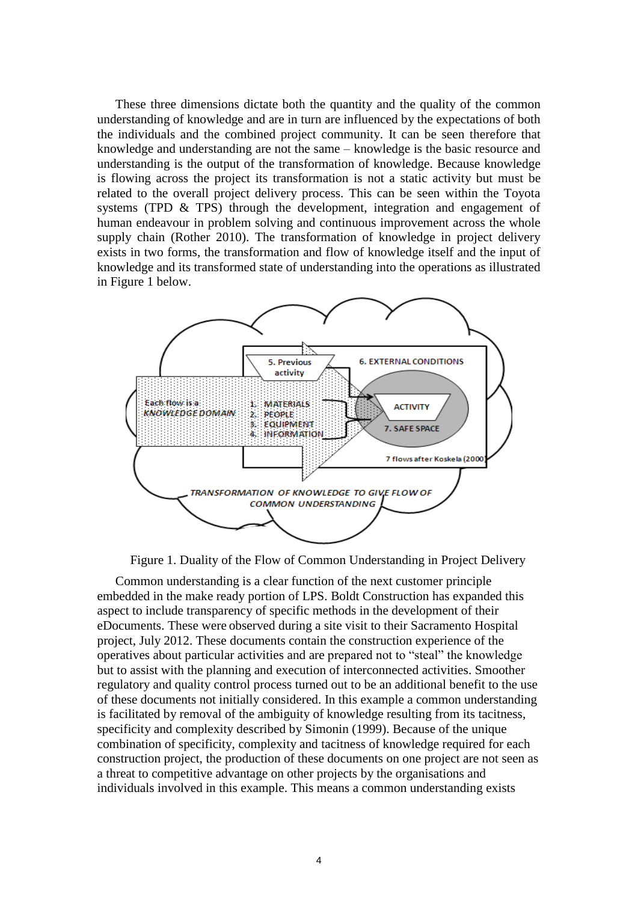These three dimensions dictate both the quantity and the quality of the common understanding of knowledge and are in turn are influenced by the expectations of both the individuals and the combined project community. It can be seen therefore that knowledge and understanding are not the same – knowledge is the basic resource and understanding is the output of the transformation of knowledge. Because knowledge is flowing across the project its transformation is not a static activity but must be related to the overall project delivery process. This can be seen within the Toyota systems (TPD  $\&$  TPS) through the development, integration and engagement of human endeavour in problem solving and continuous improvement across the whole supply chain (Rother 2010). The transformation of knowledge in project delivery exists in two forms, the transformation and flow of knowledge itself and the input of knowledge and its transformed state of understanding into the operations as illustrated in Figure 1 below.



Figure 1. Duality of the Flow of Common Understanding in Project Delivery

Common understanding is a clear function of the next customer principle embedded in the make ready portion of LPS. Boldt Construction has expanded this aspect to include transparency of specific methods in the development of their eDocuments. These were observed during a site visit to their Sacramento Hospital project, July 2012. These documents contain the construction experience of the operatives about particular activities and are prepared not to "steal" the knowledge but to assist with the planning and execution of interconnected activities. Smoother regulatory and quality control process turned out to be an additional benefit to the use of these documents not initially considered. In this example a common understanding is facilitated by removal of the ambiguity of knowledge resulting from its tacitness, specificity and complexity described by Simonin (1999). Because of the unique combination of specificity, complexity and tacitness of knowledge required for each construction project, the production of these documents on one project are not seen as a threat to competitive advantage on other projects by the organisations and individuals involved in this example. This means a common understanding exists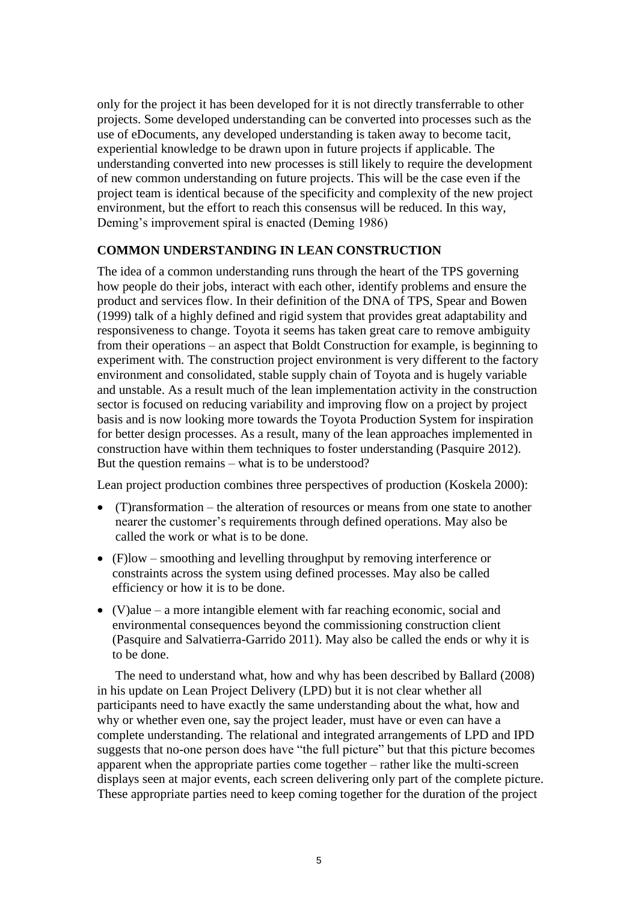only for the project it has been developed for it is not directly transferrable to other projects. Some developed understanding can be converted into processes such as the use of eDocuments, any developed understanding is taken away to become tacit, experiential knowledge to be drawn upon in future projects if applicable. The understanding converted into new processes is still likely to require the development of new common understanding on future projects. This will be the case even if the project team is identical because of the specificity and complexity of the new project environment, but the effort to reach this consensus will be reduced. In this way, Deming's improvement spiral is enacted (Deming 1986)

## **COMMON UNDERSTANDING IN LEAN CONSTRUCTION**

The idea of a common understanding runs through the heart of the TPS governing how people do their jobs, interact with each other, identify problems and ensure the product and services flow. In their definition of the DNA of TPS, Spear and Bowen (1999) talk of a highly defined and rigid system that provides great adaptability and responsiveness to change. Toyota it seems has taken great care to remove ambiguity from their operations – an aspect that Boldt Construction for example, is beginning to experiment with. The construction project environment is very different to the factory environment and consolidated, stable supply chain of Toyota and is hugely variable and unstable. As a result much of the lean implementation activity in the construction sector is focused on reducing variability and improving flow on a project by project basis and is now looking more towards the Toyota Production System for inspiration for better design processes. As a result, many of the lean approaches implemented in construction have within them techniques to foster understanding (Pasquire 2012). But the question remains – what is to be understood?

Lean project production combines three perspectives of production (Koskela 2000):

- (T)ransformation the alteration of resources or means from one state to another nearer the customer's requirements through defined operations. May also be called the work or what is to be done.
- (F)low smoothing and levelling throughput by removing interference or constraints across the system using defined processes. May also be called efficiency or how it is to be done.
- $\bullet$  (V)alue a more intangible element with far reaching economic, social and environmental consequences beyond the commissioning construction client (Pasquire and Salvatierra-Garrido 2011). May also be called the ends or why it is to be done.

The need to understand what, how and why has been described by Ballard (2008) in his update on Lean Project Delivery (LPD) but it is not clear whether all participants need to have exactly the same understanding about the what, how and why or whether even one, say the project leader, must have or even can have a complete understanding. The relational and integrated arrangements of LPD and IPD suggests that no-one person does have "the full picture" but that this picture becomes apparent when the appropriate parties come together – rather like the multi-screen displays seen at major events, each screen delivering only part of the complete picture. These appropriate parties need to keep coming together for the duration of the project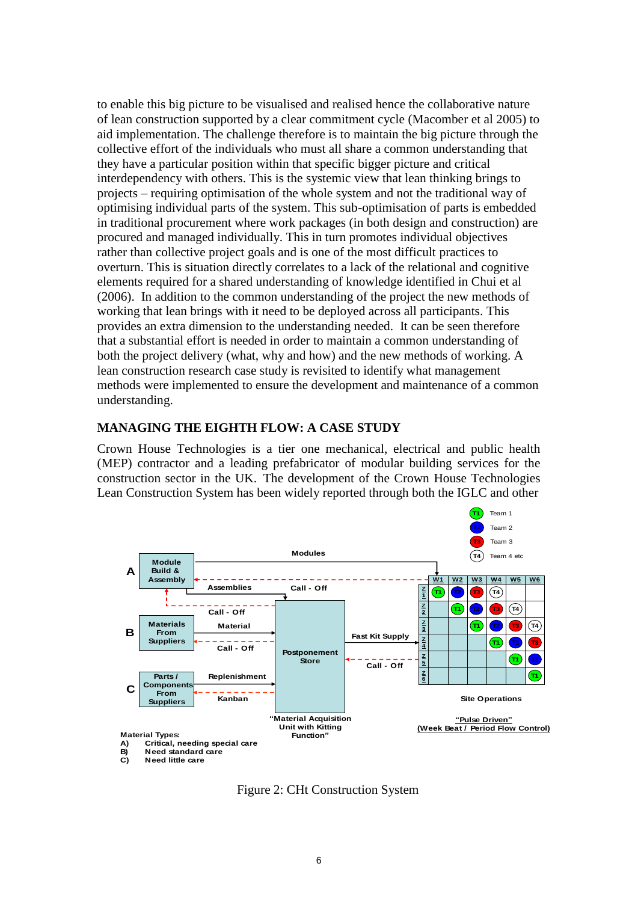to enable this big picture to be visualised and realised hence the collaborative nature of lean construction supported by a clear commitment cycle (Macomber et al 2005) to aid implementation. The challenge therefore is to maintain the big picture through the collective effort of the individuals who must all share a common understanding that they have a particular position within that specific bigger picture and critical interdependency with others. This is the systemic view that lean thinking brings to projects – requiring optimisation of the whole system and not the traditional way of optimising individual parts of the system. This sub-optimisation of parts is embedded in traditional procurement where work packages (in both design and construction) are procured and managed individually. This in turn promotes individual objectives rather than collective project goals and is one of the most difficult practices to overturn. This is situation directly correlates to a lack of the relational and cognitive elements required for a shared understanding of knowledge identified in Chui et al (2006). In addition to the common understanding of the project the new methods of working that lean brings with it need to be deployed across all participants. This provides an extra dimension to the understanding needed. It can be seen therefore that a substantial effort is needed in order to maintain a common understanding of both the project delivery (what, why and how) and the new methods of working. A lean construction research case study is revisited to identify what management methods were implemented to ensure the development and maintenance of a common understanding.

### **MANAGING THE EIGHTH FLOW: A CASE STUDY**

Crown House Technologies is a tier one mechanical, electrical and public health (MEP) contractor and a leading prefabricator of modular building services for the construction sector in the UK. The development of the Crown House Technologies Lean Construction System has been widely reported through both the IGLC and other



Figure 2: CHt Construction System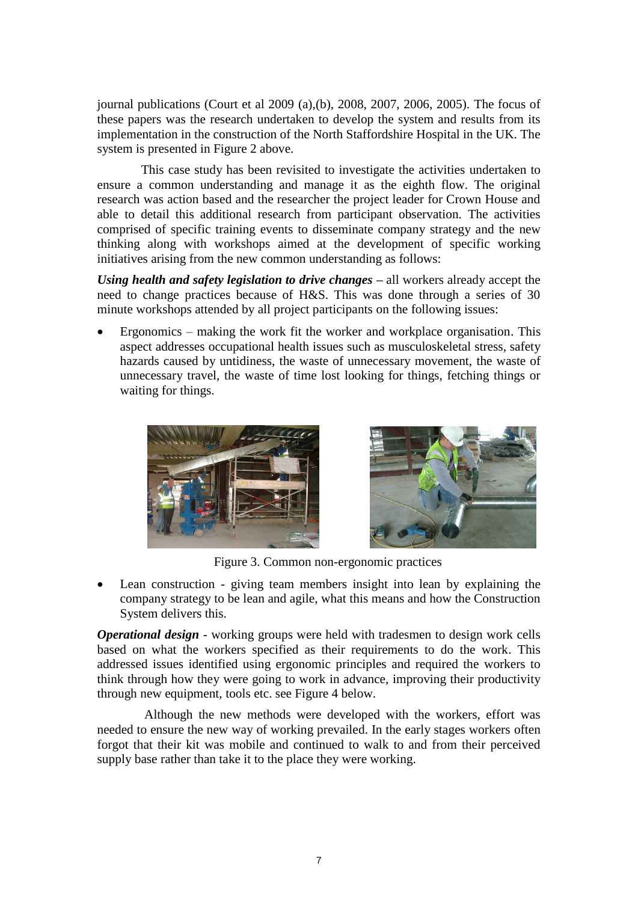journal publications (Court et al 2009 (a),(b), 2008, 2007, 2006, 2005). The focus of these papers was the research undertaken to develop the system and results from its implementation in the construction of the North Staffordshire Hospital in the UK. The system is presented in Figure 2 above.

 This case study has been revisited to investigate the activities undertaken to ensure a common understanding and manage it as the eighth flow. The original research was action based and the researcher the project leader for Crown House and able to detail this additional research from participant observation. The activities comprised of specific training events to disseminate company strategy and the new thinking along with workshops aimed at the development of specific working initiatives arising from the new common understanding as follows:

*Using health and safety legislation to drive changes –* all workers already accept the need to change practices because of H&S. This was done through a series of 30 minute workshops attended by all project participants on the following issues:

 Ergonomics – making the work fit the worker and workplace organisation. This aspect addresses occupational health issues such as musculoskeletal stress, safety hazards caused by untidiness, the waste of unnecessary movement, the waste of unnecessary travel, the waste of time lost looking for things, fetching things or waiting for things.





Figure 3. Common non-ergonomic practices

 Lean construction - giving team members insight into lean by explaining the company strategy to be lean and agile, what this means and how the Construction System delivers this.

*Operational design* - working groups were held with tradesmen to design work cells based on what the workers specified as their requirements to do the work. This addressed issues identified using ergonomic principles and required the workers to think through how they were going to work in advance, improving their productivity through new equipment, tools etc. see Figure 4 below.

 Although the new methods were developed with the workers, effort was needed to ensure the new way of working prevailed. In the early stages workers often forgot that their kit was mobile and continued to walk to and from their perceived supply base rather than take it to the place they were working.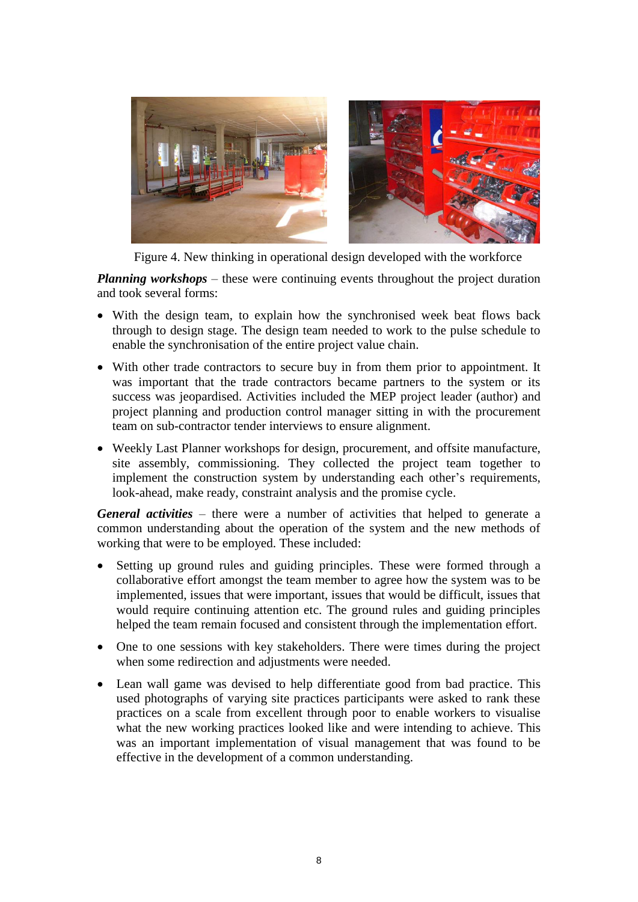

Figure 4. New thinking in operational design developed with the workforce

*Planning workshops* – these were continuing events throughout the project duration and took several forms:

- With the design team, to explain how the synchronised week beat flows back through to design stage. The design team needed to work to the pulse schedule to enable the synchronisation of the entire project value chain.
- With other trade contractors to secure buy in from them prior to appointment. It was important that the trade contractors became partners to the system or its success was jeopardised. Activities included the MEP project leader (author) and project planning and production control manager sitting in with the procurement team on sub-contractor tender interviews to ensure alignment.
- Weekly Last Planner workshops for design, procurement, and offsite manufacture, site assembly, commissioning. They collected the project team together to implement the construction system by understanding each other's requirements, look-ahead, make ready, constraint analysis and the promise cycle.

*General activities* – there were a number of activities that helped to generate a common understanding about the operation of the system and the new methods of working that were to be employed. These included:

- Setting up ground rules and guiding principles. These were formed through a collaborative effort amongst the team member to agree how the system was to be implemented, issues that were important, issues that would be difficult, issues that would require continuing attention etc. The ground rules and guiding principles helped the team remain focused and consistent through the implementation effort.
- One to one sessions with key stakeholders. There were times during the project when some redirection and adjustments were needed.
- Lean wall game was devised to help differentiate good from bad practice. This used photographs of varying site practices participants were asked to rank these practices on a scale from excellent through poor to enable workers to visualise what the new working practices looked like and were intending to achieve. This was an important implementation of visual management that was found to be effective in the development of a common understanding.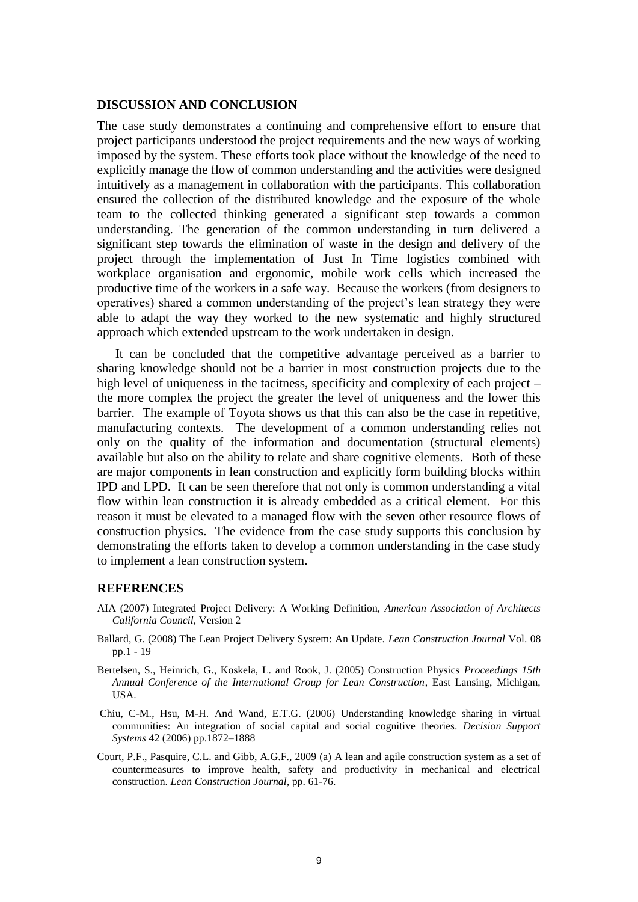### **DISCUSSION AND CONCLUSION**

The case study demonstrates a continuing and comprehensive effort to ensure that project participants understood the project requirements and the new ways of working imposed by the system. These efforts took place without the knowledge of the need to explicitly manage the flow of common understanding and the activities were designed intuitively as a management in collaboration with the participants. This collaboration ensured the collection of the distributed knowledge and the exposure of the whole team to the collected thinking generated a significant step towards a common understanding. The generation of the common understanding in turn delivered a significant step towards the elimination of waste in the design and delivery of the project through the implementation of Just In Time logistics combined with workplace organisation and ergonomic, mobile work cells which increased the productive time of the workers in a safe way. Because the workers (from designers to operatives) shared a common understanding of the project's lean strategy they were able to adapt the way they worked to the new systematic and highly structured approach which extended upstream to the work undertaken in design.

It can be concluded that the competitive advantage perceived as a barrier to sharing knowledge should not be a barrier in most construction projects due to the high level of uniqueness in the tacitness, specificity and complexity of each project – the more complex the project the greater the level of uniqueness and the lower this barrier. The example of Toyota shows us that this can also be the case in repetitive, manufacturing contexts. The development of a common understanding relies not only on the quality of the information and documentation (structural elements) available but also on the ability to relate and share cognitive elements. Both of these are major components in lean construction and explicitly form building blocks within IPD and LPD. It can be seen therefore that not only is common understanding a vital flow within lean construction it is already embedded as a critical element. For this reason it must be elevated to a managed flow with the seven other resource flows of construction physics. The evidence from the case study supports this conclusion by demonstrating the efforts taken to develop a common understanding in the case study to implement a lean construction system.

### **REFERENCES**

- AIA (2007) Integrated Project Delivery: A Working Definition, *American Association of Architects California Council,* Version 2
- Ballard, G. (2008) The Lean Project Delivery System: An Update. *Lean Construction Journal* Vol. 08 pp.1 - 19
- Bertelsen, S., Heinrich, G., Koskela, L. and Rook, J. (2005) Construction Physics *Proceedings 15th Annual Conference of the International Group for Lean Construction*, East Lansing, Michigan, USA.
- Chiu, C-M., Hsu, M-H. And Wand, E.T.G. (2006) Understanding knowledge sharing in virtual communities: An integration of social capital and social cognitive theories. *Decision Support Systems* 42 (2006) pp.1872–1888
- Court, P.F., Pasquire, C.L. and Gibb, A.G.F., 2009 (a) A lean and agile construction system as a set of countermeasures to improve health, safety and productivity in mechanical and electrical construction. *Lean Construction Journal*, pp. 61-76.